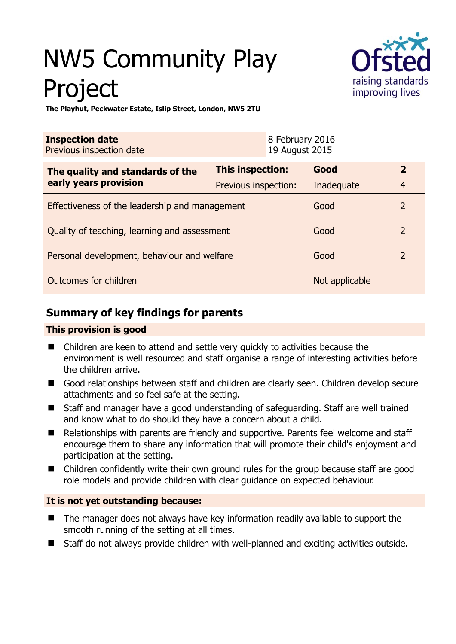# NW5 Community Play Project



**The Playhut, Peckwater Estate, Islip Street, London, NW5 2TU** 

| <b>Inspection date</b><br>Previous inspection date        |                      | 8 February 2016<br>19 August 2015 |                |                |
|-----------------------------------------------------------|----------------------|-----------------------------------|----------------|----------------|
| The quality and standards of the<br>early years provision | This inspection:     |                                   | Good           | $\overline{2}$ |
|                                                           | Previous inspection: |                                   | Inadequate     | $\overline{4}$ |
| Effectiveness of the leadership and management            |                      |                                   | Good           | $\overline{2}$ |
| Quality of teaching, learning and assessment              |                      |                                   | Good           | $\overline{2}$ |
| Personal development, behaviour and welfare               |                      |                                   | Good           | $\overline{2}$ |
| Outcomes for children                                     |                      |                                   | Not applicable |                |

# **Summary of key findings for parents**

## **This provision is good**

- Children are keen to attend and settle very quickly to activities because the environment is well resourced and staff organise a range of interesting activities before the children arrive.
- Good relationships between staff and children are clearly seen. Children develop secure attachments and so feel safe at the setting.
- Staff and manager have a good understanding of safeguarding. Staff are well trained and know what to do should they have a concern about a child.
- Relationships with parents are friendly and supportive. Parents feel welcome and staff encourage them to share any information that will promote their child's enjoyment and participation at the setting.
- Children confidently write their own ground rules for the group because staff are good role models and provide children with clear guidance on expected behaviour.

## **It is not yet outstanding because:**

- The manager does not always have key information readily available to support the smooth running of the setting at all times.
- Staff do not always provide children with well-planned and exciting activities outside.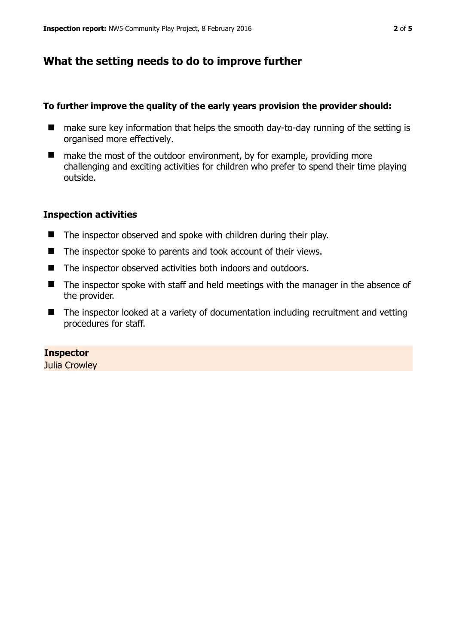## **What the setting needs to do to improve further**

#### **To further improve the quality of the early years provision the provider should:**

- make sure key information that helps the smooth day-to-day running of the setting is organised more effectively.
- make the most of the outdoor environment, by for example, providing more challenging and exciting activities for children who prefer to spend their time playing outside.

#### **Inspection activities**

- The inspector observed and spoke with children during their play.
- The inspector spoke to parents and took account of their views.
- The inspector observed activities both indoors and outdoors.
- The inspector spoke with staff and held meetings with the manager in the absence of the provider.
- The inspector looked at a variety of documentation including recruitment and vetting procedures for staff.

#### **Inspector**

Julia Crowley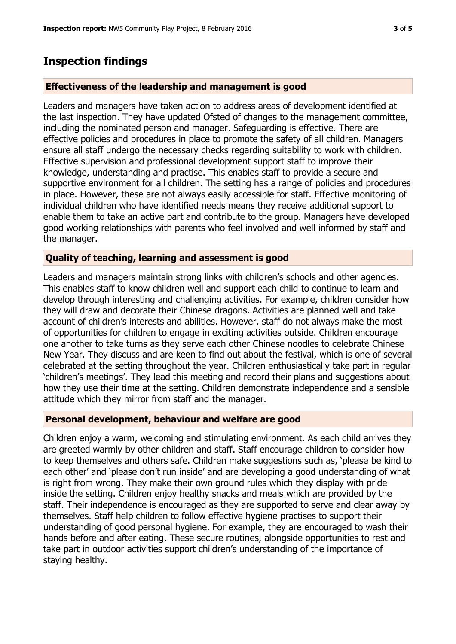## **Inspection findings**

#### **Effectiveness of the leadership and management is good**

Leaders and managers have taken action to address areas of development identified at the last inspection. They have updated Ofsted of changes to the management committee, including the nominated person and manager. Safeguarding is effective. There are effective policies and procedures in place to promote the safety of all children. Managers ensure all staff undergo the necessary checks regarding suitability to work with children. Effective supervision and professional development support staff to improve their knowledge, understanding and practise. This enables staff to provide a secure and supportive environment for all children. The setting has a range of policies and procedures in place. However, these are not always easily accessible for staff. Effective monitoring of individual children who have identified needs means they receive additional support to enable them to take an active part and contribute to the group. Managers have developed good working relationships with parents who feel involved and well informed by staff and the manager.

#### **Quality of teaching, learning and assessment is good**

Leaders and managers maintain strong links with children's schools and other agencies. This enables staff to know children well and support each child to continue to learn and develop through interesting and challenging activities. For example, children consider how they will draw and decorate their Chinese dragons. Activities are planned well and take account of children's interests and abilities. However, staff do not always make the most of opportunities for children to engage in exciting activities outside. Children encourage one another to take turns as they serve each other Chinese noodles to celebrate Chinese New Year. They discuss and are keen to find out about the festival, which is one of several celebrated at the setting throughout the year. Children enthusiastically take part in regular 'children's meetings'. They lead this meeting and record their plans and suggestions about how they use their time at the setting. Children demonstrate independence and a sensible attitude which they mirror from staff and the manager.

#### **Personal development, behaviour and welfare are good**

Children enjoy a warm, welcoming and stimulating environment. As each child arrives they are greeted warmly by other children and staff. Staff encourage children to consider how to keep themselves and others safe. Children make suggestions such as, 'please be kind to each other' and 'please don't run inside' and are developing a good understanding of what is right from wrong. They make their own ground rules which they display with pride inside the setting. Children enjoy healthy snacks and meals which are provided by the staff. Their independence is encouraged as they are supported to serve and clear away by themselves. Staff help children to follow effective hygiene practises to support their understanding of good personal hygiene. For example, they are encouraged to wash their hands before and after eating. These secure routines, alongside opportunities to rest and take part in outdoor activities support children's understanding of the importance of staying healthy.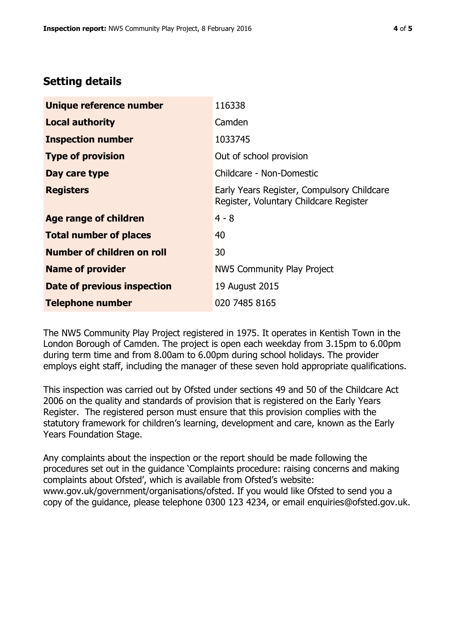## **Setting details**

| Unique reference number       | 116338                                                                               |  |  |
|-------------------------------|--------------------------------------------------------------------------------------|--|--|
| <b>Local authority</b>        | Camden                                                                               |  |  |
| <b>Inspection number</b>      | 1033745                                                                              |  |  |
| <b>Type of provision</b>      | Out of school provision                                                              |  |  |
| Day care type                 | Childcare - Non-Domestic                                                             |  |  |
| <b>Registers</b>              | Early Years Register, Compulsory Childcare<br>Register, Voluntary Childcare Register |  |  |
| Age range of children         | $4 - 8$                                                                              |  |  |
| <b>Total number of places</b> | 40                                                                                   |  |  |
| Number of children on roll    | 30                                                                                   |  |  |
| <b>Name of provider</b>       | NW5 Community Play Project                                                           |  |  |
| Date of previous inspection   | 19 August 2015                                                                       |  |  |
| <b>Telephone number</b>       | 020 7485 8165                                                                        |  |  |

The NW5 Community Play Project registered in 1975. It operates in Kentish Town in the London Borough of Camden. The project is open each weekday from 3.15pm to 6.00pm during term time and from 8.00am to 6.00pm during school holidays. The provider employs eight staff, including the manager of these seven hold appropriate qualifications.

This inspection was carried out by Ofsted under sections 49 and 50 of the Childcare Act 2006 on the quality and standards of provision that is registered on the Early Years Register. The registered person must ensure that this provision complies with the statutory framework for children's learning, development and care, known as the Early Years Foundation Stage.

Any complaints about the inspection or the report should be made following the procedures set out in the guidance 'Complaints procedure: raising concerns and making complaints about Ofsted', which is available from Ofsted's website: www.gov.uk/government/organisations/ofsted. If you would like Ofsted to send you a copy of the guidance, please telephone 0300 123 4234, or email enquiries@ofsted.gov.uk.